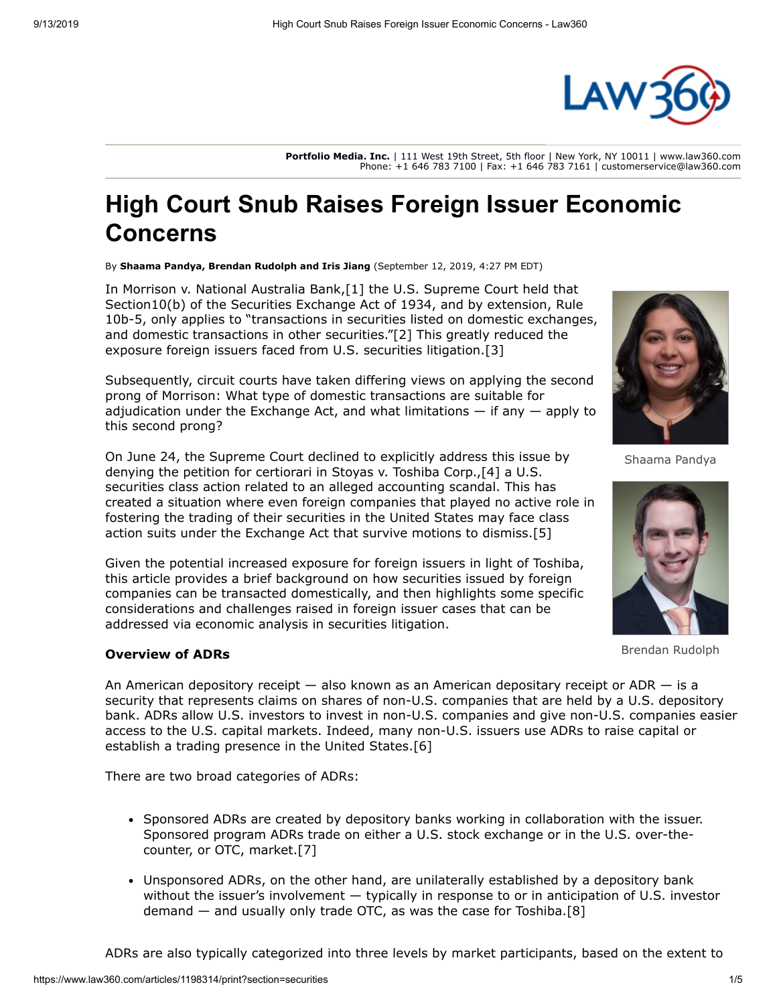

**Portfolio Media. Inc.** | 111 West 19th Street, 5th floor | New York, NY 10011 | www.law360.com Phone: +1 646 783 7100 | Fax: +1 646 783 7161 | customerservice@law360.com

# **High Court Snub Raises Foreign Issuer Economic Concerns**

By **Shaama Pandya, Brendan Rudolph and Iris Jiang** (September 12, 2019, 4:27 PM EDT)

In Morrison v. National Australia Bank,[1] the [U.S. Supreme Court](https://www.law360.com/agencies/u-s-supreme-court) held that Section10(b) of the Securities Exchange Act of 1934, and by extension, Rule 10b-5, only applies to "transactions in securities listed on domestic exchanges, and domestic transactions in other securities."[2] This greatly reduced the exposure foreign issuers faced from U.S. securities litigation.[3]

Subsequently, circuit courts have taken differing views on applying the second prong of Morrison: What type of domestic transactions are suitable for adjudication under the Exchange Act, and what limitations  $-$  if any  $-$  apply to this second prong?

On June 24, the Supreme Court declined to explicitly address this issue by denying the petition for certiorari in Stoyas v. Toshiba Corp.,[4] a U.S. securities class action related to an alleged accounting scandal. This has created a situation where even foreign companies that played no active role in fostering the trading of their securities in the United States may face class action suits under the Exchange Act that survive motions to dismiss.[5]

Given the potential increased exposure for foreign issuers in light of Toshiba, this article provides a brief background on how securities issued by foreign companies can be transacted domestically, and then highlights some specific considerations and challenges raised in foreign issuer cases that can be addressed via economic analysis in securities litigation.

# **Overview of ADRs**

An American depository receipt  $-$  also known as an American depositary receipt or ADR  $-$  is a security that represents claims on shares of non-U.S. companies that are held by a U.S. depository bank. ADRs allow U.S. investors to invest in non-U.S. companies and give non-U.S. companies easier access to the U.S. capital markets. Indeed, many non-U.S. issuers use ADRs to raise capital or establish a trading presence in the United States.[6]

There are two broad categories of ADRs:

- Sponsored ADRs are created by depository banks working in collaboration with the issuer. Sponsored program ADRs trade on either a U.S. stock exchange or in the U.S. over-thecounter, or OTC, market.[7]
- Unsponsored ADRs, on the other hand, are unilaterally established by a depository bank without the issuer's involvement — typically in response to or in anticipation of U.S. investor demand — and usually only trade OTC, as was the case for Toshiba.[8]





Shaama Pandya



Brendan Rudolph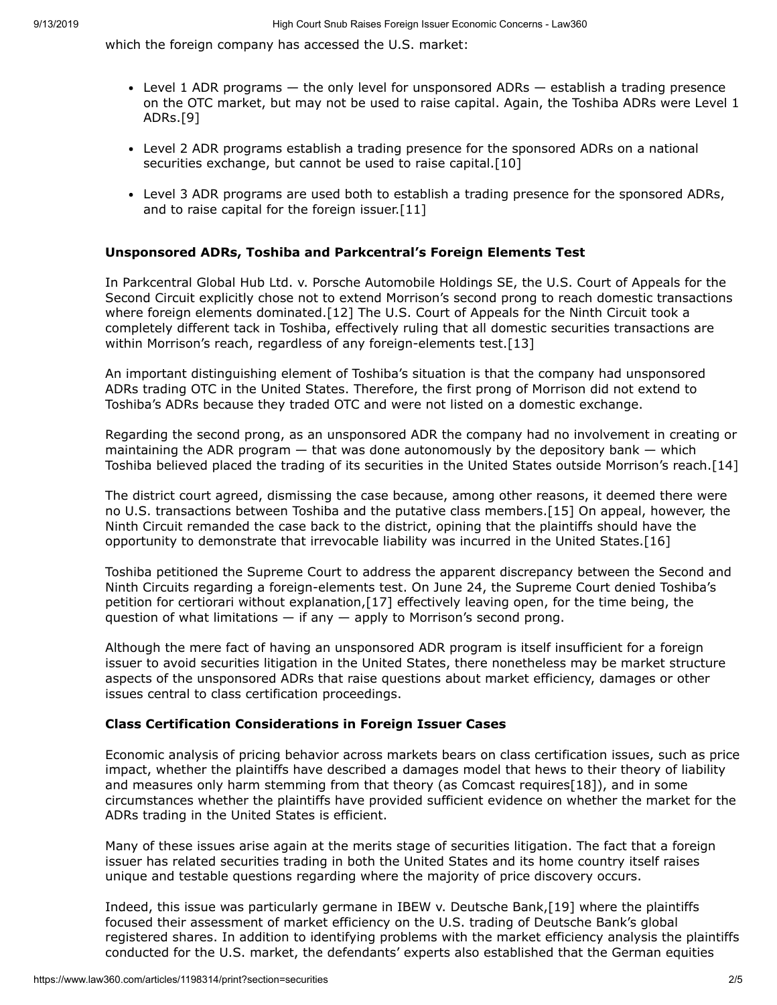which the foreign company has accessed the U.S. market:

- Level 1 ADR programs the only level for unsponsored ADRs establish a trading presence on the OTC market, but may not be used to raise capital. Again, the Toshiba ADRs were Level 1 ADRs.[9]
- Level 2 ADR programs establish a trading presence for the sponsored ADRs on a national securities exchange, but cannot be used to raise capital.<sup>[10]</sup>
- Level 3 ADR programs are used both to establish a trading presence for the sponsored ADRs, and to raise capital for the foreign issuer.[11]

# **Unsponsored ADRs, Toshiba and Parkcentral's Foreign Elements Test**

In Parkcentral Global Hub Ltd. v. Porsche Automobile Holdings SE, the U.S. Court of Appeals for the [Second Circuit explicitly chose not to extend Morrison's second prong to reach domestic transactions](https://www.law360.com/agencies/u-s-court-of-appeals-for-the-second-circuit) where foreign elements dominated.[12] The [U.S. Court of Appeals for the Ninth Circuit](https://www.law360.com/agencies/u-s-court-of-appeals-for-the-ninth-circuit) took a completely different tack in Toshiba, effectively ruling that all domestic securities transactions are within Morrison's reach, regardless of any foreign-elements test.[13]

An important distinguishing element of Toshiba's situation is that the company had unsponsored ADRs trading OTC in the United States. Therefore, the first prong of Morrison did not extend to Toshiba's ADRs because they traded OTC and were not listed on a domestic exchange.

Regarding the second prong, as an unsponsored ADR the company had no involvement in creating or maintaining the ADR program  $-$  that was done autonomously by the depository bank  $-$  which Toshiba believed placed the trading of its securities in the United States outside Morrison's reach.[14]

The district court agreed, dismissing the case because, among other reasons, it deemed there were no U.S. transactions between Toshiba and the putative class members.[15] On appeal, however, the Ninth Circuit remanded the case back to the district, opining that the plaintiffs should have the opportunity to demonstrate that irrevocable liability was incurred in the United States.[16]

Toshiba petitioned the Supreme Court to address the apparent discrepancy between the Second and Ninth Circuits regarding a foreign-elements test. On June 24, the Supreme Court denied Toshiba's petition for certiorari without explanation,[17] effectively leaving open, for the time being, the question of what limitations  $-$  if any  $-$  apply to Morrison's second prong.

Although the mere fact of having an unsponsored ADR program is itself insufficient for a foreign issuer to avoid securities litigation in the United States, there nonetheless may be market structure aspects of the unsponsored ADRs that raise questions about market efficiency, damages or other issues central to class certification proceedings.

# **Class Certification Considerations in Foreign Issuer Cases**

Economic analysis of pricing behavior across markets bears on class certification issues, such as price impact, whether the plaintiffs have described a damages model that hews to their theory of liability and measures only harm stemming from that theory (as Comcast requires[18]), and in some circumstances whether the plaintiffs have provided sufficient evidence on whether the market for the ADRs trading in the United States is efficient.

Many of these issues arise again at the merits stage of securities litigation. The fact that a foreign issuer has related securities trading in both the United States and its home country itself raises unique and testable questions regarding where the majority of price discovery occurs.

Indeed, this issue was particularly germane in IBEW v. Deutsche Bank,[19] where the plaintiffs focused their assessment of market efficiency on the U.S. trading of Deutsche Bank's global registered shares. In addition to identifying problems with the market efficiency analysis the plaintiffs conducted for the U.S. market, the defendants' experts also established that the German equities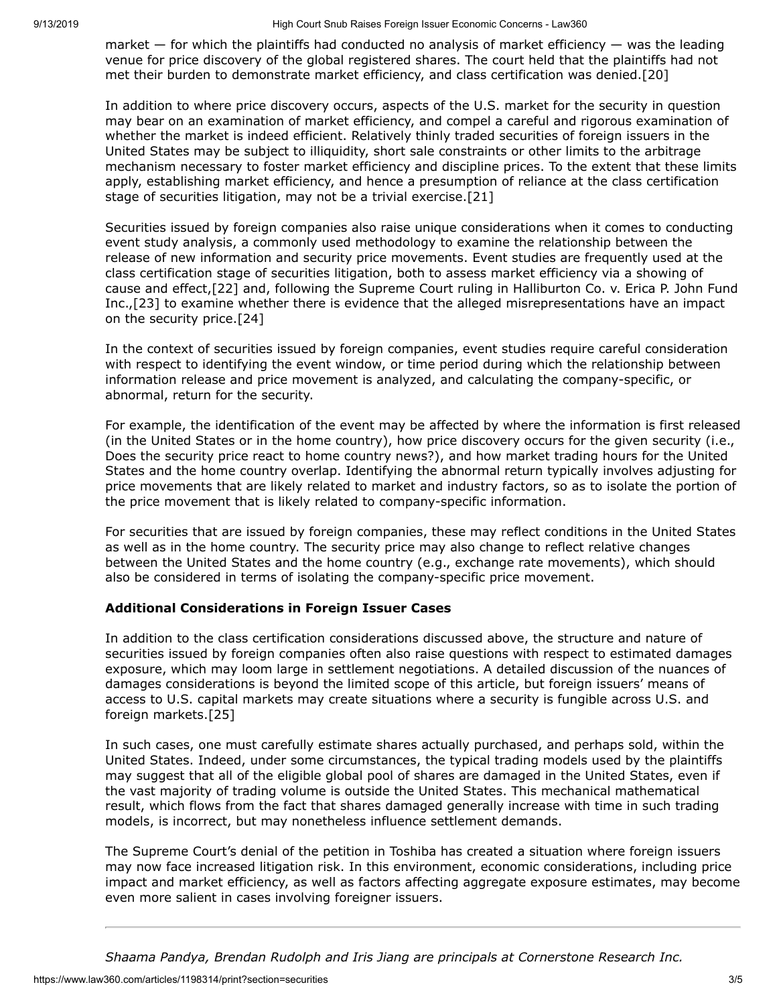market  $-$  for which the plaintiffs had conducted no analysis of market efficiency  $-$  was the leading venue for price discovery of the global registered shares. The court held that the plaintiffs had not met their burden to demonstrate market efficiency, and class certification was denied.[20]

In addition to where price discovery occurs, aspects of the U.S. market for the security in question may bear on an examination of market efficiency, and compel a careful and rigorous examination of whether the market is indeed efficient. Relatively thinly traded securities of foreign issuers in the United States may be subject to illiquidity, short sale constraints or other limits to the arbitrage mechanism necessary to foster market efficiency and discipline prices. To the extent that these limits apply, establishing market efficiency, and hence a presumption of reliance at the class certification stage of securities litigation, may not be a trivial exercise.[21]

Securities issued by foreign companies also raise unique considerations when it comes to conducting event study analysis, a commonly used methodology to examine the relationship between the release of new information and security price movements. Event studies are frequently used at the class certification stage of securities litigation, both to assess market efficiency via a showing of cause and effect,[22] and, following the Supreme Court ruling in Halliburton Co. v. Erica P. John Fund Inc.,[23] to examine whether there is evidence that the alleged misrepresentations have an impact on the security price.[24]

In the context of securities issued by foreign companies, event studies require careful consideration with respect to identifying the event window, or time period during which the relationship between information release and price movement is analyzed, and calculating the company-specific, or abnormal, return for the security.

For example, the identification of the event may be affected by where the information is first released (in the United States or in the home country), how price discovery occurs for the given security (i.e., Does the security price react to home country news?), and how market trading hours for the United States and the home country overlap. Identifying the abnormal return typically involves adjusting for price movements that are likely related to market and industry factors, so as to isolate the portion of the price movement that is likely related to company-specific information.

For securities that are issued by foreign companies, these may reflect conditions in the United States as well as in the home country. The security price may also change to reflect relative changes between the United States and the home country (e.g., exchange rate movements), which should also be considered in terms of isolating the company-specific price movement.

# **Additional Considerations in Foreign Issuer Cases**

In addition to the class certification considerations discussed above, the structure and nature of securities issued by foreign companies often also raise questions with respect to estimated damages exposure, which may loom large in settlement negotiations. A detailed discussion of the nuances of damages considerations is beyond the limited scope of this article, but foreign issuers' means of access to U.S. capital markets may create situations where a security is fungible across U.S. and foreign markets.[25]

In such cases, one must carefully estimate shares actually purchased, and perhaps sold, within the United States. Indeed, under some circumstances, the typical trading models used by the plaintiffs may suggest that all of the eligible global pool of shares are damaged in the United States, even if the vast majority of trading volume is outside the United States. This mechanical mathematical result, which flows from the fact that shares damaged generally increase with time in such trading models, is incorrect, but may nonetheless influence settlement demands.

The Supreme Court's denial of the petition in Toshiba has created a situation where foreign issuers may now face increased litigation risk. In this environment, economic considerations, including price impact and market efficiency, as well as factors affecting aggregate exposure estimates, may become even more salient in cases involving foreigner issuers.

*[Shaama Pandya,](https://www.cornerstone.com/Staff/Shaama-Pandya) [Brendan Rudolph](https://www.cornerstone.com/Staff/Brendan-Rudolph) and [Iris Jiang](https://www.cornerstone.com/Staff/Iris-Jiang) are principals at [Cornerstone Research Inc](https://www.law360.com/companies/cornerstone-research-inc).*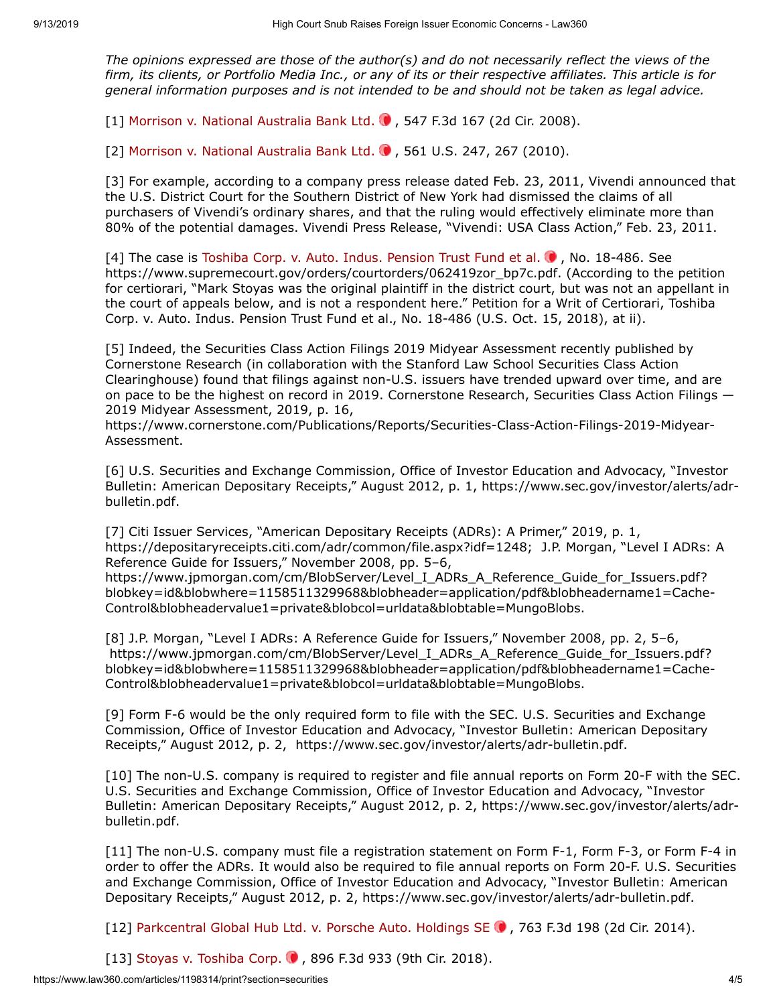*The opinions expressed are those of the author(s) and do not necessarily reflect the views of the firm, its clients, or Portfolio Media Inc., or any of its or their respective affiliates. This article is for general information purposes and is not intended to be and should not be taken as legal advice.*

[1] [Morrison v. National Australia Bank Ltd.](https://advance.lexis.com/api/search?q=2008%20U.S.%20App.%20LEXIS%2021986&qlang=bool&origination=law360&internalOrigination=article_id%3D1198314%3Bcitation%3D2008%20U.S.%20App.%20LEXIS%2021986&originationDetail=headline%3DHigh%20Court%20Snub%20Raises%20Foreign%20Issuer%20Economic%20Concerns&)  $\bullet$ , 547 F.3d 167 (2d Cir. 2008).

[2] [Morrison v. National Australia Bank Ltd.](https://advance.lexis.com/api/search?q=2010%20U.S.%20LEXIS%205257&qlang=bool&origination=law360&internalOrigination=article_id%3D1198314%3Bcitation%3D2010%20U.S.%20LEXIS%205257&originationDetail=headline%3DHigh%20Court%20Snub%20Raises%20Foreign%20Issuer%20Economic%20Concerns&) . 561 U.S. 247, 267 (2010).

[3] For example, according to a company press release dated Feb. 23, 2011, [Vivendi](https://www.law360.com/companies/vivendi-sa) announced that the [U.S. District Court for the Southern District of New York](https://www.law360.com/agencies/u-s-district-court-for-the-southern-district-of-new-york) had dismissed the claims of all purchasers of Vivendi's ordinary shares, and that the ruling would effectively eliminate more than 80% of the potential damages. Vivendi Press Release, "Vivendi: USA Class Action," Feb. 23, 2011.

[4] The case is Toshiba Corp. v. Auto. Indus. Pension Trust Fund et al.  $\bullet$ , No. 18-486. See [https://www.supremecourt.gov/orders/courtorders/062419zor\\_bp7c.pdf](https://www.supremecourt.gov/orders/courtorders/062419zor_bp7c.pdf). (According to the petition for certiorari, "Mark Stoyas was the original plaintiff in the district court, but was not an appellant in the court of appeals below, and is not a respondent here." Petition for a Writ of Certiorari, Toshiba Corp. v. Auto. Indus. Pension Trust Fund et al., No. 18-486 (U.S. Oct. 15, 2018), at ii).

[5] Indeed, the Securities Class Action Filings 2019 Midyear Assessment recently published by Cornerstone Research (in collaboration with the Stanford Law School Securities Class Action Clearinghouse) found that filings against non-U.S. issuers have trended upward over time, and are on pace to be the highest on record in 2019. Cornerstone Research, Securities Class Action Filings — 2019 Midyear Assessment, 2019, p. 16,

[https://www.cornerstone.com/Publications/Reports/Securities-Class-Action-Filings-2019-Midyear-](https://www.cornerstone.com/Publications/Reports/Securities-Class-Action-Filings-2019-Midyear-Assessment)Assessment.

[6] [U.S. Securities and Exchange Commission](https://www.law360.com/agencies/securities-and-exchange-commission), Office of Investor Education and Advocacy, "Investor [Bulletin: American Depositary Receipts," August 2012, p. 1, https://www.sec.gov/investor/alerts/adr](https://www.sec.gov/investor/alerts/adr-bulletin.pdf)bulletin.pdf.

[7] Citi Issuer Services, "American Depositary Receipts (ADRs): A Primer," 2019, p. 1, <https://depositaryreceipts.citi.com/adr/common/file.aspx?idf=1248>; [J.P. Morgan,](https://www.law360.com/companies/jpmorgan-chase-co) "Level I ADRs: A Reference Guide for Issuers," November 2008, pp. 5–6,

https://www.jpmorgan.com/cm/BlobServer/Level\_I\_ADRs\_A\_Reference\_Guide\_for\_Issuers.pdf? [blobkey=id&blobwhere=1158511329968&blobheader=application/pdf&blobheadername1=Cache-](https://www.jpmorgan.com/cm/BlobServer/Level_I_ADRs_A_Reference_Guide_for_Issuers.pdf?blobkey=id&blobwhere=1158511329968&blobheader=application/pdf&blobheadername1=Cache-Control&blobheadervalue1=private&blobcol=urldata&blobtable=MungoBlobs)Control&blobheadervalue1=private&blobcol=urldata&blobtable=MungoBlobs.

[8] J.P. Morgan, "Level I ADRs: A Reference Guide for Issuers," November 2008, pp. 2, 5–6, https://www.jpmorgan.com/cm/BlobServer/Level\_I\_ADRs\_A\_Reference\_Guide\_for\_Issuers.pdf? [blobkey=id&blobwhere=1158511329968&blobheader=application/pdf&blobheadername1=Cache-](https://www.jpmorgan.com/cm/BlobServer/Level_I_ADRs_A_Reference_Guide_for_Issuers.pdf?blobkey=id&blobwhere=1158511329968&blobheader=application/pdf&blobheadername1=Cache-Control&blobheadervalue1=private&blobcol=urldata&blobtable=MungoBlobs)Control&blobheadervalue1=private&blobcol=urldata&blobtable=MungoBlobs.

[9] Form F-6 would be the only required form to file with the SEC. U.S. Securities and Exchange Commission, Office of Investor Education and Advocacy, "Investor Bulletin: American Depositary Receipts," August 2012, p. 2, <https://www.sec.gov/investor/alerts/adr-bulletin.pdf>.

[10] The non-U.S. company is required to register and file annual reports on Form 20-F with the SEC. U.S. Securities and Exchange Commission, Office of Investor Education and Advocacy, "Investor [Bulletin: American Depositary Receipts," August 2012, p. 2, https://www.sec.gov/investor/alerts/adr](https://www.sec.gov/investor/alerts/adr-bulletin.pdf)bulletin.pdf.

[11] The non-U.S. company must file a registration statement on Form F-1, Form F-3, or Form F-4 in order to offer the ADRs. It would also be required to file annual reports on Form 20-F. U.S. Securities and Exchange Commission, Office of Investor Education and Advocacy, "Investor Bulletin: American Depositary Receipts," August 2012, p. 2, [https://www.sec.gov/investor/alerts/adr-bulletin.pdf.](https://www.sec.gov/investor/alerts/adr-bulletin.pdf)

[12] Parkcentral Global Hub Ltd. v. Porsche Auto. Holdings SE ., 763 F.3d 198 (2d Cir. 2014).

[13] [Stoyas v. Toshiba Corp.](https://advance.lexis.com/api/search?q=2016%20U.S.%20Dist.%20LEXIS%2067581&qlang=bool&origination=law360&internalOrigination=article_id%3D1198314%3Bcitation%3D2016%20U.S.%20Dist.%20LEXIS%2067581&originationDetail=headline%3DHigh%20Court%20Snub%20Raises%20Foreign%20Issuer%20Economic%20Concerns&) 0, 896 F.3d 933 (9th Cir. 2018).